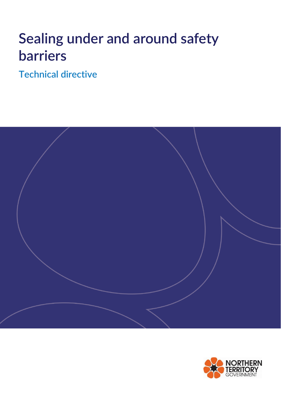# **Sealing under and around safety barriers**

**Technical directive**



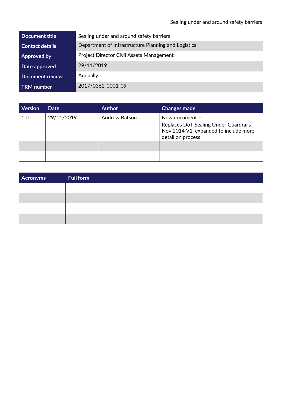| Document title         | Sealing under and around safety barriers            |
|------------------------|-----------------------------------------------------|
| <b>Contact details</b> | Department of Infrastructure Planning and Logistics |
| Approved by            | <b>Project Director Civil Assets Management</b>     |
| Date approved          | 29/11/2019                                          |
| <b>Document review</b> | Annually                                            |
| <b>TRM</b> number      | 2017/0362-0001-09                                   |

| <b>Version</b> | Date       | <b>Author</b> | <b>Changes made</b>                                                                                                   |
|----------------|------------|---------------|-----------------------------------------------------------------------------------------------------------------------|
| 1.0            | 29/11/2019 | Andrew Batson | New document -<br>Replaces DoT Sealing Under Guardrails<br>Nov 2014 V1, expanded to include more<br>detail on process |
|                |            |               |                                                                                                                       |

| Acronyms | <b>Full form</b> |
|----------|------------------|
|          |                  |
|          |                  |
|          |                  |
|          |                  |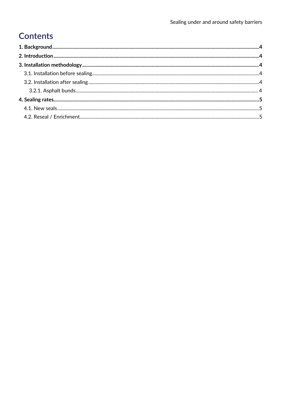## **Contents**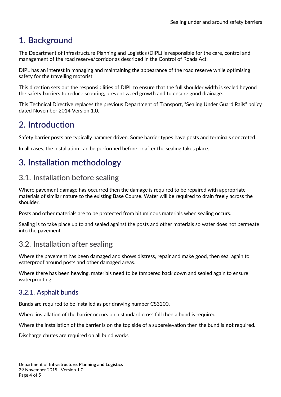## <span id="page-3-0"></span>**1. Background**

The Department of Infrastructure Planning and Logistics (DIPL) is responsible for the care, control and management of the road reserve/corridor as described in the Control of Roads Act.

DIPL has an interest in managing and maintaining the appearance of the road reserve while optimising safety for the travelling motorist.

This direction sets out the responsibilities of DIPL to ensure that the full shoulder width is sealed beyond the safety barriers to reduce scouring, prevent weed growth and to ensure good drainage.

This Technical Directive replaces the previous Department of Transport, "Sealing Under Guard Rails" policy dated November 2014 Version 1.0.

## <span id="page-3-1"></span>**2. Introduction**

Safety barrier posts are typically hammer driven. Some barrier types have posts and terminals concreted.

In all cases, the installation can be performed before or after the sealing takes place.

## <span id="page-3-2"></span>**3. Installation methodology**

### <span id="page-3-3"></span>**3.1. Installation before sealing**

Where pavement damage has occurred then the damage is required to be repaired with appropriate materials of similar nature to the existing Base Course. Water will be required to drain freely across the shoulder.

Posts and other materials are to be protected from bituminous materials when sealing occurs.

Sealing is to take place up to and sealed against the posts and other materials so water does not permeate into the pavement.

### <span id="page-3-4"></span>**3.2. Installation after sealing**

Where the pavement has been damaged and shows distress, repair and make good, then seal again to waterproof around posts and other damaged areas.

Where there has been heaving, materials need to be tampered back down and sealed again to ensure waterproofing.

#### <span id="page-3-5"></span>**3.2.1. Asphalt bunds**

Bunds are required to be installed as per drawing number CS3200.

Where installation of the barrier occurs on a standard cross fall then a bund is required.

Where the installation of the barrier is on the top side of a superelevation then the bund is **not** required.

Discharge chutes are required on all bund works.